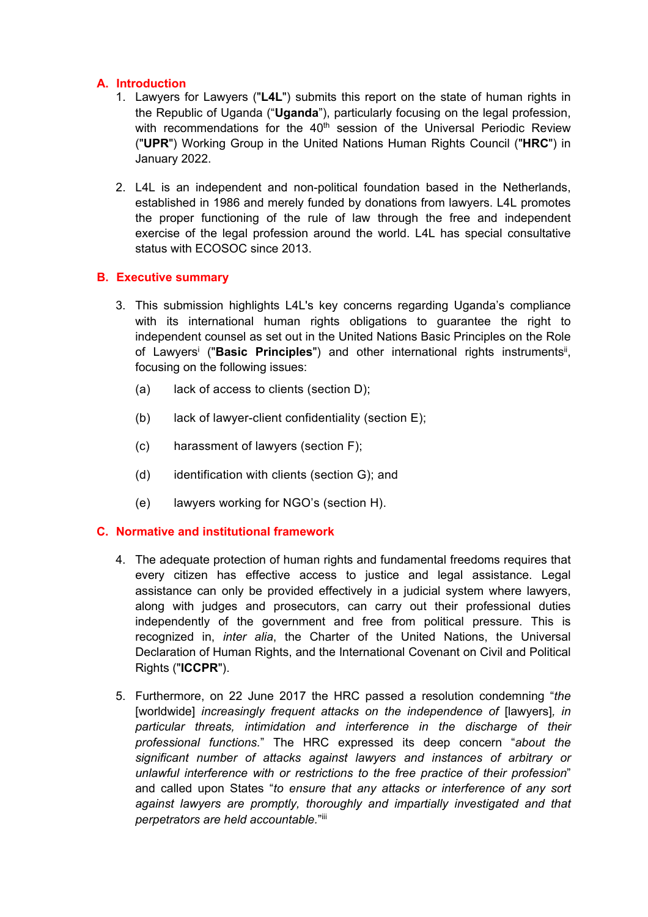## **A. Introduction**

- 1. Lawyers for Lawyers ("**L4L**") submits this report on the state of human rights in the Republic of Uganda ("**Uganda**"), particularly focusing on the legal profession, with recommendations for the  $40^{\text{th}}$  session of the Universal Periodic Review ("**UPR**") Working Group in the United Nations Human Rights Council ("**HRC**") in January 2022.
- 2. L4L is an independent and non-political foundation based in the Netherlands, established in 1986 and merely funded by donations from lawyers. L4L promotes the proper functioning of the rule of law through the free and independent exercise of the legal profession around the world. L4L has special consultative status with ECOSOC since 2013.

#### **B. Executive summary**

- 3. This submission highlights L4L's key concerns regarding Uganda'<sup>s</sup> compliance with its international human rights obligations to guarantee the right to independent counsel as set out in the United Nations Basic Principles on the Role of Lawyers<sup>i</sup> ("**Basic Principles**") and other international rights instruments<sup>i</sup>, focusing on the following issues:
	- (a) lack of access to clients (section D);
	- (b) lack of lawyer-client confidentiality (section E);
	- (c) harassment of lawyers (section F);
	- (d) identification with clients (section G); and
	- (e) lawyers working for NGO'<sup>s</sup> (section H).

#### **C. Normative and institutional framework**

- 4. The adequate protection of human rights and fundamental freedoms requires that every citizen has effective access to justice and legal assistance. Legal assistance can only be provided effectively in <sup>a</sup> judicial system where lawyers, along with judges and prosecutors, can carry out their professional duties independently of the government and free from political pressure. This is recognized in, *inter alia*, the Charter of the United Nations, the Universal Declaration of Human Rights, and the International Covenant on Civil and Political Rights ("**ICCPR**").
- 5. Furthermore, on 22 June 2017 the HRC passed <sup>a</sup> resolution condemning "*the* [worldwide] *increasingly frequent attacks on the independence of* [lawyers]*, in particular threats, intimidation and interference in the discharge of their professional functions.*" The HRC expressed its deep concern "*about the significant number of attacks against lawyers and instances of arbitrary or unlawful interference with or restrictions to the free practice of their profession*" and called upon States "*to ensure that any attacks or interference of any sort against lawyers are promptly, thoroughly and impartially investigated and that perpetrators are held accountable.*" iii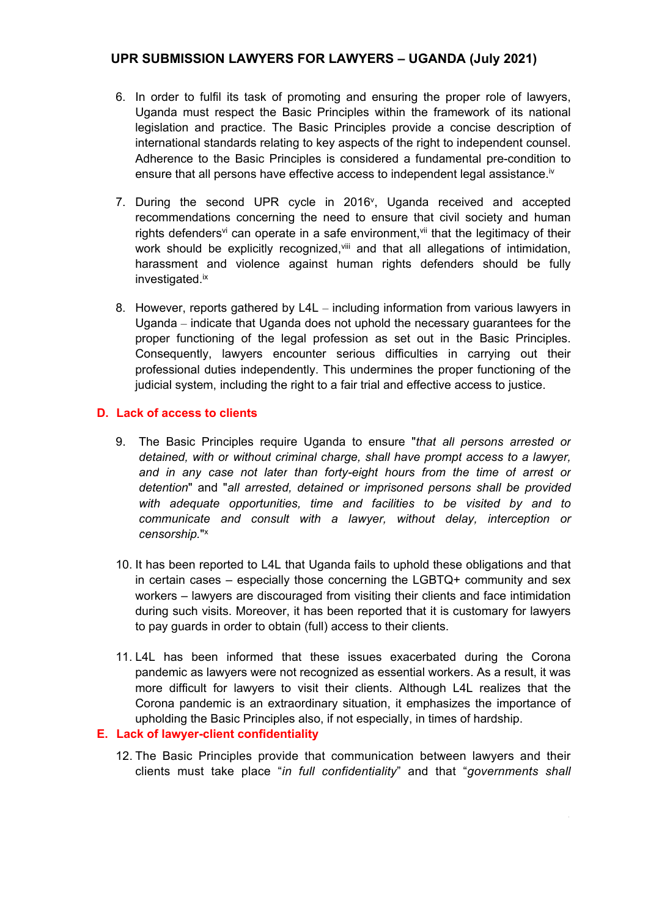- 6. In order to fulfil its task of promoting and ensuring the proper role of lawyers, Uganda must respect the Basic Principles within the framework of its national legislation and practice. The Basic Principles provide <sup>a</sup> concise description of international standards relating to key aspects of the right to independent counsel. Adherence to the Basic Principles is considered <sup>a</sup> fundamental pre-condition to ensure that all persons have effective access to independent legal assistance.<sup>iv</sup>
- 7. During the second UPR cycle in 2016 $^{\circ}$ , Uganda received and accepted recommendations concerning the need to ensure that civil society and human rights defenders<sup>vi</sup> can operate in a safe environment,<sup>vii</sup> that the legitimacy of their work should be explicitly recognized,<sup>viii</sup> and that all allegations of intimidation, harassment and violence against human rights defenders should be fully investigated.<sup>ix</sup>
- 8. However, reports gathered by L4L including information from various lawyers in Uganda – indicate that Uganda does not uphold the necessary guarantees for the proper functioning of the legal profession as set out in the Basic Principles. Consequently, lawyers encounter serious difficulties in carrying out their professional duties independently. This undermines the proper functioning of the judicial system, including the right to <sup>a</sup> fair trial and effective access to justice.

## **D. Lack of access to clients**

- 9. The Basic Principles require Uganda to ensure "*that all persons arrested or detained, with or without criminal charge, shall have prompt access to <sup>a</sup> lawyer, and in any case not later than forty-eight hours from the time of arrest or detention*" and "*all arrested, detained or imprisoned persons shall be provided with adequate opportunities, time and facilities to be visited by and to communicate and consult with <sup>a</sup> lawyer, without delay, interception or censorship.*" x
- 10. It has been reported to L4L that Uganda fails to uphold these obligations and that in certain cases – especially those concerning the LGBTQ+ community and sex workers – lawyers are discouraged from visiting their clients and face intimidation during such visits. Moreover, it has been reported that it is customary for lawyers to pay guards in order to obtain (full) access to their clients.
- 11. L4L has been informed that these issues exacerbated during the Corona pandemic as lawyers were not recognized as essential workers. As <sup>a</sup> result, it was more difficult for lawyers to visit their clients. Although L4L realizes that the Corona pandemic is an extraordinary situation, it emphasizes the importance of upholding the Basic Principles also, if not especially, in times of hardship.

#### **E. Lack of lawyer-client confidentiality**

12. The Basic Principles provide that communication between lawyers and their clients must take place "*in full confidentiality*" and that "*governments shall*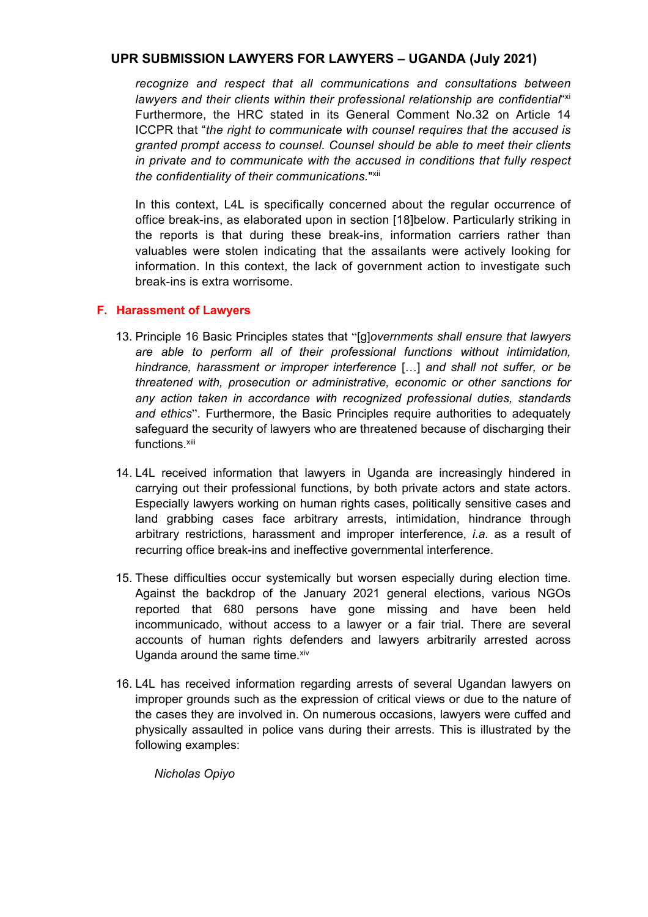*recognize and respect that all communications and consultations between lawyers and their clients within their professional relationship are confidential*" xi Furthermore, the HRC stated in its General Comment No.32 on Article 14 ICCPR that "*the right to communicate with counsel requires that the accused is granted prompt access to counsel. Counsel should be able to meet their clients in private and to communicate with the accused in conditions that fully respect the confidentiality of their communications.*" xii

In this context, L4L is specifically concerned about the regular occurrence of office break-ins, as elaborated upon in section [18]below. Particularly striking in the reports is that during these break-ins, information carriers rather than valuables were stolen indicating that the assailants were actively looking for information. In this context, the lack of government action to investigate such break-ins is extra worrisome.

#### **F. Harassment of Lawyers**

- 13. Principle 16 Basic Principles states that "[g]*overnments shall ensure that lawyers are able to perform all of their professional functions without intimidation, hindrance, harassment or improper interference* […] *and shall not suffer, or be threatened with, prosecution or administrative, economic or other sanctions for any action taken in accordance with recognized professional duties, standards and ethics*". Furthermore, the Basic Principles require authorities to adequately safeguard the security of lawyers who are threatened because of discharging their functions.<sup>xiii</sup>
- 14. L4L received information that lawyers in Uganda are increasingly hindered in carrying out their professional functions, by both private actors and state actors. Especially lawyers working on human rights cases, politically sensitive cases and land grabbing cases face arbitrary arrests, intimidation, hindrance through arbitrary restrictions, harassment and improper interference, *i.a.* as <sup>a</sup> result of recurring office break-ins and ineffective governmental interference.
- 15. These difficulties occur systemically but worsen especially during election time. Against the backdrop of the January 2021 general elections, various NGOs reported that 680 persons have gone missing and have been held incommunicado, without access to <sup>a</sup> lawyer or <sup>a</sup> fair trial. There are several accounts of human rights defenders and lawyers arbitrarily arrested across Uganda around the same time.<sup>xiv</sup>
- 16. L4L has received information regarding arrests of several Ugandan lawyers on improper grounds such as the expression of critical views or due to the nature of the cases they are involved in. On numerous occasions, lawyers were cuffed and physically assaulted in police vans during their arrests. This is illustrated by the following examples:

*Nicholas Opiyo*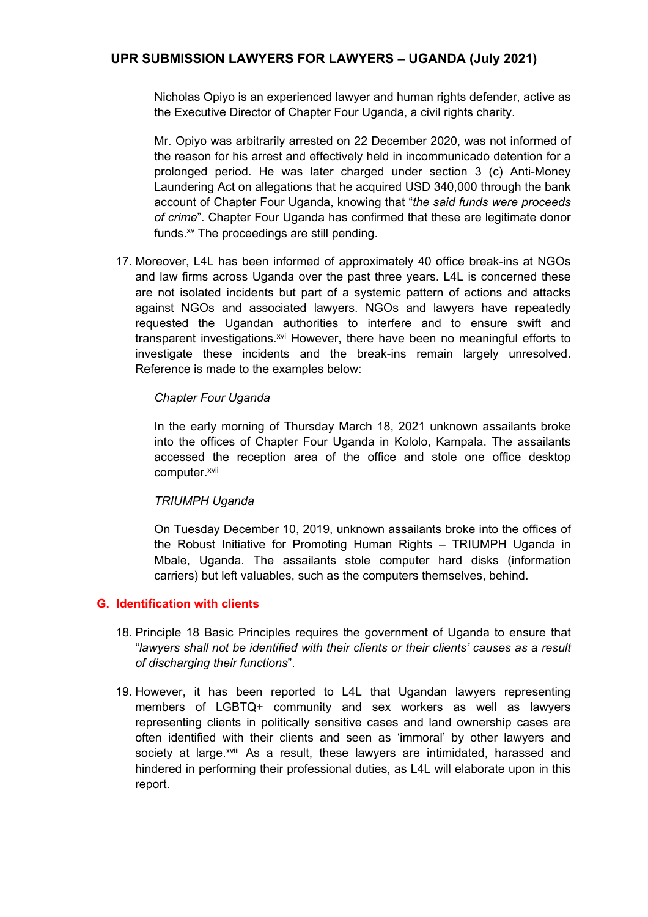Nicholas Opiyo is an experienced lawyer and human rights defender, active as the Executive Director of Chapter Four Uganda, <sup>a</sup> civil rights charity.

Mr. Opiyo was arbitrarily arrested on 22 December 2020, was not informed of the reason for his arrest and effectively held in incommunicado detention for <sup>a</sup> prolonged period. He was later charged under section 3 (c) Anti-Money Laundering Act on allegations that he acquired USD 340,000 through the bank account of Chapter Four Uganda, knowing that "*the said funds were proceeds of crime*". Chapter Four Uganda has confirmed that these are legitimate donor funds. xv The proceedings are still pending.

17. Moreover, L4L has been informed of approximately 40 office break-ins at NGOs and law firms across Uganda over the past three years. L4L is concerned these are not isolated incidents but part of <sup>a</sup> systemic pattern of actions and attacks against NGOs and associated lawyers. NGOs and lawyers have repeatedly requested the Ugandan authorities to interfere and to ensure swift and transparent investigations.<sup>xvi</sup> However, there have been no meaningful efforts to investigate these incidents and the break-ins remain largely unresolved. Reference is made to the examples below:

#### *Chapter Four Uganda*

In the early morning of Thursday March 18, 2021 unknown assailants broke into the offices of Chapter Four Uganda in Kololo, Kampala. The assailants accessed the reception area of the office and stole one office desktop computer. xvii

#### *TRIUMPH Uganda*

On Tuesday December 10, 2019, unknown assailants broke into the offices of the Robust Initiative for Promoting Human Rights – TRIUMPH Uganda in Mbale, Uganda. The assailants stole computer hard disks (information carriers) but left valuables, such as the computers themselves, behind.

#### **G. Identification with clients**

- 18. Principle 18 Basic Principles requires the government of Uganda to ensure that "*lawyers shall not be identified with their clients or their clients' causes as <sup>a</sup> result of discharging their functions*".
- 19. However, it has been reported to L4L that Ugandan lawyers representing members of LGBTQ+ community and sex workers as well as lawyers representing clients in politically sensitive cases and land ownership cases are often identified with their clients and seen as 'immoral' by other lawyers and society at large.<sup>xviii</sup> As a result, these lawyers are intimidated, harassed and hindered in performing their professional duties, as L4L will elaborate upon in this report.

4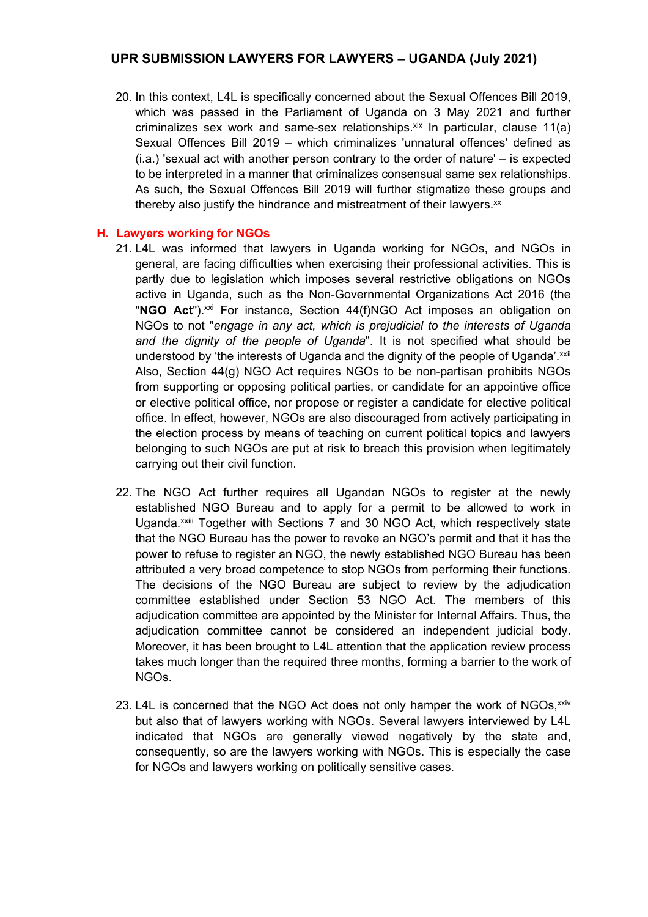20. In this context, L4L is specifically concerned about the Sexual Offences Bill 2019, which was passed in the Parliament of Uganda on 3 May 2021 and further criminalizes sex work and same-sex relationships.<sup>xix</sup> In particular, clause 11(a) Sexual Offences Bill 2019 – which criminalizes 'unnatural offences' defined as (i.a.) 'sexual act with another person contrary to the order of nature' – is expected to be interpreted in <sup>a</sup> manner that criminalizes consensual same sex relationships. As such, the Sexual Offences Bill 2019 will further stigmatize these groups and thereby also justify the hindrance and mistreatment of their lawyers. $^{\rm{xx}}$ 

#### **H. Lawyers working for NGOs**

- 21. L4L was informed that lawyers in Uganda working for NGOs, and NGOs in general, are facing difficulties when exercising their professional activities. This is partly due to legislation which imposes several restrictive obligations on NGOs active in Uganda, such as the Non-Governmental Organizations Act 2016 (the "NGO Act").<sup>xxi</sup> For instance, Section 44(f)NGO Act imposes an obligation on NGOs to not "*engage in any act, which is prejudicial to the interests of Uganda and the dignity of the people of Uganda*". It is not specified what should be understood by 'the interests of Uganda and the dignity of the people of Uganda'.<sup>xxii</sup> Also, Section 44(g) NGO Act requires NGOs to be non-partisan prohibits NGOs from supporting or opposing political parties, or candidate for an appointive office or elective political office, nor propose or register <sup>a</sup> candidate for elective political office. In effect, however, NGOs are also discouraged from actively participating in the election process by means of teaching on current political topics and lawyers belonging to such NGOs are put at risk to breach this provision when legitimately carrying out their civil function.
- 22. The NGO Act further requires all Ugandan NGOs to register at the newly established NGO Bureau and to apply for <sup>a</sup> permit to be allowed to work in Uganda.<sup>xxiii</sup> Together with Sections 7 and 30 NGO Act, which respectively state that the NGO Bureau has the power to revoke an NGO'<sup>s</sup> permit and that it has the power to refuse to register an NGO, the newly established NGO Bureau has been attributed <sup>a</sup> very broad competence to stop NGOs from performing their functions. The decisions of the NGO Bureau are subject to review by the adjudication committee established under Section 53 NGO Act. The members of this adjudication committee are appointed by the Minister for Internal Affairs. Thus, the adjudication committee cannot be considered an independent judicial body. Moreover, it has been brought to L4L attention that the application review process takes much longer than the required three months, forming <sup>a</sup> barrier to the work of NGOs.
- 23. L4L is concerned that the NGO Act does not only hamper the work of NGOs,<sup>xxiv</sup> but also that of lawyers working with NGOs. Several lawyers interviewed by L4L indicated that NGOs are generally viewed negatively by the state and, consequently, so are the lawyers working with NGOs. This is especially the case for NGOs and lawyers working on politically sensitive cases.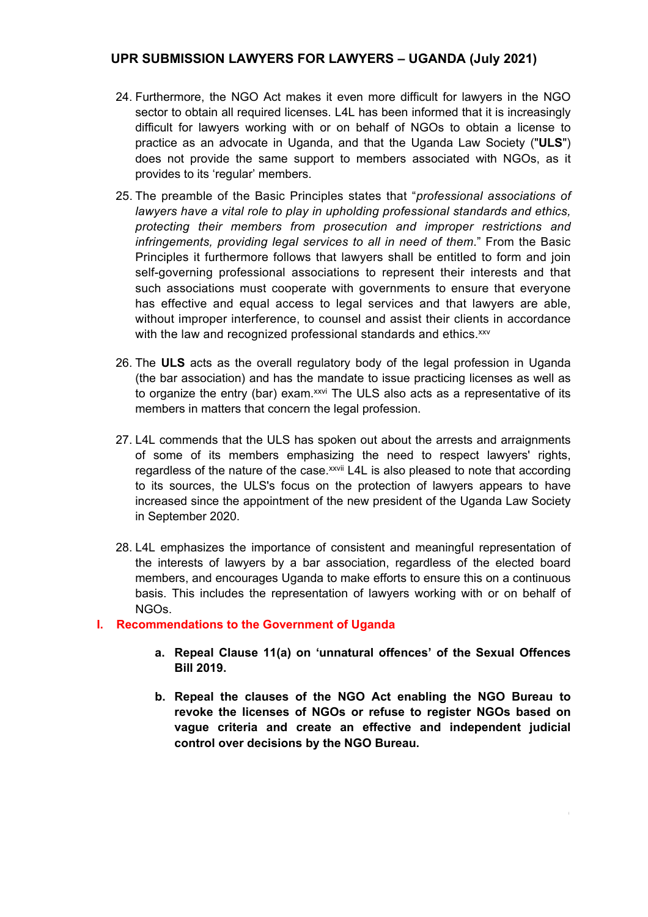- 24. Furthermore, the NGO Act makes it even more difficult for lawyers in the NGO sector to obtain all required licenses. L4L has been informed that it is increasingly difficult for lawyers working with or on behalf of NGOs to obtain <sup>a</sup> license to practice as an advocate in Uganda, and that the Uganda Law Society ("**ULS**") does not provide the same support to members associated with NGOs, as it provides to its 'regular' members.
- 25. The preamble of the Basic Principles states that "*professional associations of lawyers have <sup>a</sup> vital role to play in upholding professional standards and ethics, protecting their members from prosecution and improper restrictions and infringements, providing legal services to all in need of them*." From the Basic Principles it furthermore follows that lawyers shall be entitled to form and join self-governing professional associations to represent their interests and that such associations must cooperate with governments to ensure that everyone has effective and equal access to legal services and that lawyers are able, without improper interference, to counsel and assist their clients in accordance with the law and recognized professional standards and ethics. xxv
- 26. The **ULS** acts as the overall regulatory body of the legal profession in Uganda (the bar association) and has the mandate to issue practicing licenses as well as to organize the entry (bar) exam.<sup>xxvi</sup> The ULS also acts as a representative of its members in matters that concern the legal profession.
- 27. L4L commends that the ULS has spoken out about the arrests and arraignments of some of its members emphasizing the need to respect lawyers' rights, regardless of the nature of the case.<sup>xxvii</sup> L4L is also pleased to note that according to its sources, the ULS's focus on the protection of lawyers appears to have increased since the appointment of the new president of the Uganda Law Society in September 2020.
- 28. L4L emphasizes the importance of consistent and meaningful representation of the interests of lawyers by <sup>a</sup> bar association, regardless of the elected board members, and encourages Uganda to make efforts to ensure this on <sup>a</sup> continuous basis. This includes the representation of lawyers working with or on behalf of NGOs.

#### **I. Recommendations to the Government of Uganda**

- **a. Repeal Clause 11(a) on 'unnatural offences' of the Sexual Offences Bill 2019.**
- **b. Repeal the clauses of the NGO Act enabling the NGO Bureau to revoke the licenses of NGOs or refuse to register NGOs based on vague criteria and create an effective and independent judicial control over decisions by the NGO Bureau.**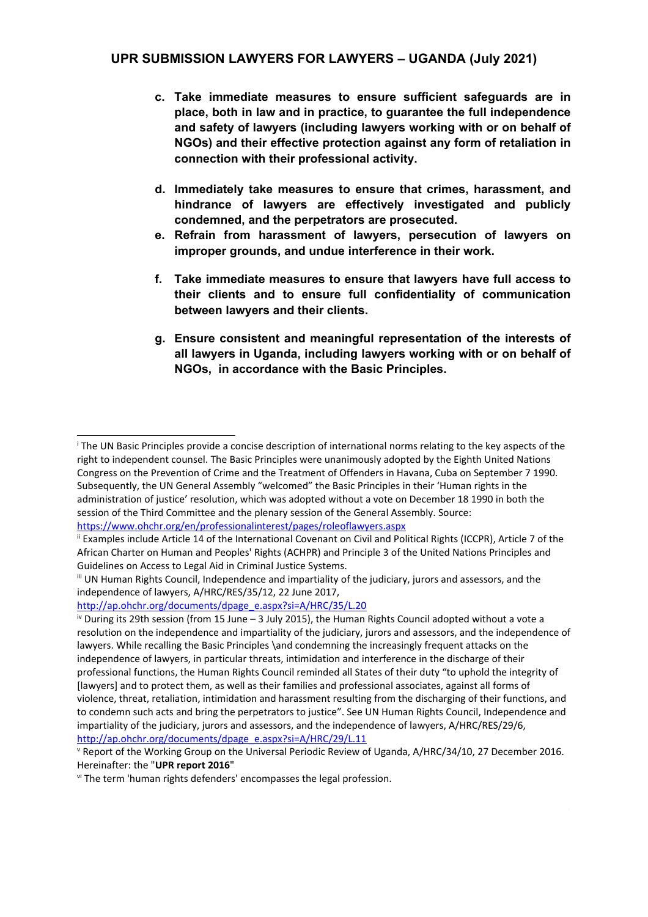- **c. Take immediate measures to ensure sufficient safeguards are in place, both in law and in practice, to guarantee the full independence and safety of lawyers (including lawyers working with or on behalf of NGOs) and their effective protection against any form of retaliation in connection with their professional activity.**
- **d. Immediately take measures to ensure that crimes, harassment, and hindrance of lawyers are effectively investigated and publicly condemned, and the perpetrators are prosecuted.**
- **e. Refrain from harassment of lawyers, persecution of lawyers on improper grounds, and undue interference in their work.**
- **f. Take immediate measures to ensure that lawyers have full access to their clients and to ensure full confidentiality of communication between lawyers and their clients.**
- **g. Ensure consistent and meaningful representation of the interests of all lawyers in Uganda, including lawyers working with or on behalf of NGOs, in accordance with the Basic Principles.**

i The UN Basic Principles provide <sup>a</sup> concise description of international norms relating to the key aspects of the right to independent counsel. The Basic Principles were unanimously adopted by the Eighth United Nations Congress on the Prevention of Crime and the Treatment of Offenders in Havana, Cuba on September 7 1990. Subsequently, the UN General Assembly "welcomed" the Basic Principles in their 'Human rights in the administration of justice' resolution, which was adopted without <sup>a</sup> vote on December 18 1990 in both the session of the Third Committee and the plenary session of the General Assembly. Source: [https://www.ohchr.org/en/professionalinterest/pages/roleoflawyers.aspx](about:blank)

ii Examples include Article 14 of the International Covenant on Civil and Political Rights (ICCPR), Article 7 of the African Charter on Human and Peoples' Rights (ACHPR) and Principle 3 of the United Nations Principles and Guidelines on Access to Legal Aid in Criminal Justice Systems.

iii UN Human Rights Council, Independence and impartiality of the judiciary, jurors and assessors, and the independence of lawyers, A/HRC/RES/35/12, 22 June 2017,

[http://ap.ohchr.org/documents/dpage\\_e.aspx?si=A/HRC/35/L.20](about:blank)

<sup>&</sup>lt;sup>iv</sup> During its 29th session (from 15 June – 3 July 2015), the Human Rights Council adopted without a vote a resolution on the independence and impartiality of the judiciary, jurors and assessors, and the independence of lawyers. While recalling the Basic Principles \and condemning the increasingly frequent attacks on the independence of lawyers, in particular threats, intimidation and interference in the discharge of their professional functions, the Human Rights Council reminded all States of their duty "to uphold the integrity of [lawyers] and to protect them, as well as their families and professional associates, against all forms of violence, threat, retaliation, intimidation and harassment resulting from the discharging of their functions, and to condemn such acts and bring the perpetrators to justice". See UN Human Rights Council, Independence and impartiality of the judiciary, jurors and assessors, and the independence of lawyers, A/HRC/RES/29/6, [http://ap.ohchr.org/documents/dpage\\_e.aspx?si=A/HRC/29/L.11](about:blank)

v Report of the Working Group on the Universal Periodic Review of Uganda, A/HRC/34/10, 27 December 2016. Hereinafter: the "**UPR report 2016**"

<sup>&</sup>lt;sup>vi</sup> The term 'human rights defenders' encompasses the legal profession.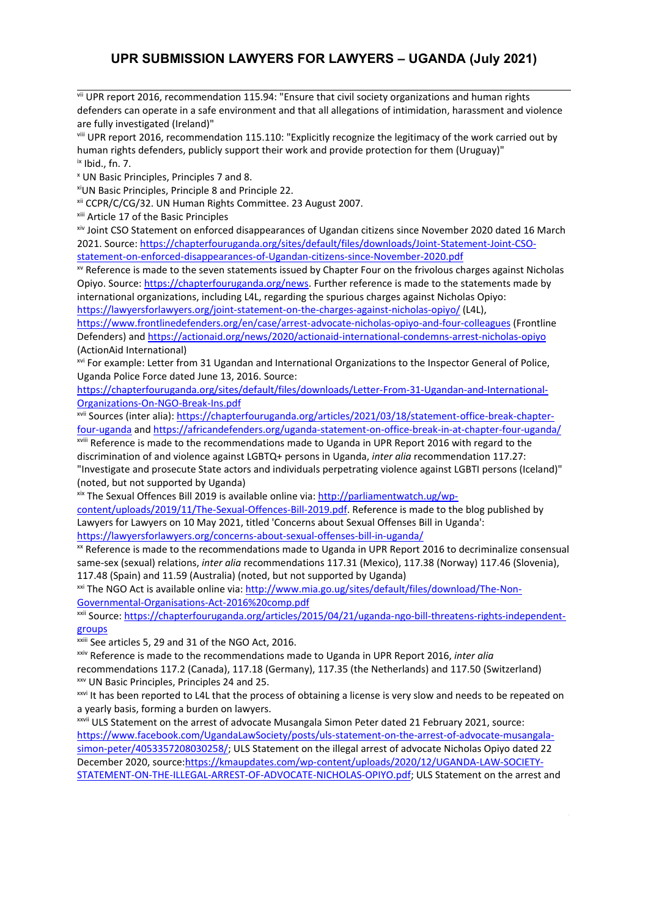<sup>vii</sup> UPR report 2016, recommendation 115.94: "Ensure that civil society organizations and human rights defenders can operate in <sup>a</sup> safe environment and that all allegations of intimidation, harassment and violence are fully investigated (Ireland)"

viii UPR report 2016, recommendation 115.110: "Explicitly recognize the legitimacy of the work carried out by human rights defenders, publicly support their work and provide protection for them (Uruguay)"  $\overline{\phantom{a}}$  Ibid., fn. 7.

x UN Basic Principles, Principles 7 and 8.

xi UN Basic Principles, Principle 8 and Principle 22.

xii CCPR/C/CG/32. UN Human Rights Committee. 23 August 2007.

<sup>xiii</sup> Article 17 of the Basic Principles

xiv Joint CSO Statement on enforced disappearances of Ugandan citizens since November 2020 dated 16 March 2021. Source: [https://chapterfouruganda.org/sites/default/files/downloads/Joint-Statement-Joint-CSO](about:blank)[statement-on-enforced-disappearances-of-Ugandan-citizens-since-November-2020.pdf](about:blank)

xv Reference is made to the seven statements issued by Chapter Four on the frivolous charges against Nicholas Opiyo. Source: [https://chapterfouruganda.org/news](about:blank). Further reference is made to the statements made by international organizations, including L4L, regarding the spurious charges against Nicholas Opiyo: [https://lawyersforlawyers.org/joint-statement-on-the-charges-against-nicholas-opiyo/](about:blank) (L4L),

[https://www.frontlinedefenders.org/en/case/arrest-advocate-nicholas-opiyo-and-four-colleagues](about:blank) (Frontline Defenders) and [https://actionaid.org/news/2020/actionaid-international-condemns-arrest-nicholas-opiyo](about:blank) (ActionAid International)

<sup>xvi</sup> For example: Letter from 31 Ugandan and International Organizations to the Inspector General of Police, Uganda Police Force dated June 13, 2016. Source:

[https://chapterfouruganda.org/sites/default/files/downloads/Letter-From-31-Ugandan-and-International-](about:blank)[Organizations-On-NGO-Break-Ins.pdf](about:blank)

<sup>xvii</sup> Sources (inter alia): <u>https://chapterfouruganda.org/articles/2021/03/18/statement-office-break-chapter-</u> [four-uganda](about:blank) and [https://africandefenders.org/uganda-statement-on-office-break-in-at-chapter-four-uganda/](about:blank)

<sup>xviii</sup> Reference is made to the recommendations made to Uganda in UPR Report 2016 with regard to the discrimination of and violence against LGBTQ+ persons in Uganda, *inter alia* recommendation 117.27: "Investigate and prosecute State actors and individuals perpetrating violence against LGBTI persons (Iceland)" (noted, but not supported by Uganda)

<sup>xix</sup> The Sexual Offences Bill 2019 is available online via: [http://parliamentwatch.ug/wp](about:blank)[content/uploads/2019/11/The-Sexual-Offences-Bill-2019.pdf](about:blank). Reference is made to the blog published by Lawyers for Lawyers on 10 May 2021, titled 'Concerns about Sexual Offenses Bill in Uganda': [https://lawyersforlawyers.org/concerns-about-sexual-offenses-bill-in-uganda/](about:blank)

 $\rm{^{xx}}$  Reference is made to the recommendations made to Uganda in UPR Report 2016 to decriminalize consensual same-sex (sexual) relations, *inter alia* recommendations 117.31 (Mexico), 117.38 (Norway) 117.46 (Slovenia), 117.48 (Spain) and 11.59 (Australia) (noted, but not supported by Uganda)

<sup>xxi</sup> The NGO Act is available online via: <u>http://www.mia.go.ug/sites/default/files/download/The-Non-</u> [Governmental-Organisations-Act-2016%20comp.pdf](about:blank)

<sup>xxii</sup> Source: <u>https://chapterfouruganda.org/articles/2015/04/21/uganda-ngo-bill-threatens-rights-independent-</u> [groups](https://chapterfouruganda.org/articles/2015/04/21/uganda-ngo-bill-threatens-rights-independent-groups)

xxiii See articles 5, 29 and 31 of the NGO Act, 2016.

xxiv Reference is made to the recommendations made to Uganda in UPR Report 2016, *inter alia*

recommendations 117.2 (Canada), 117.18 (Germany), 117.35 (the Netherlands) and 117.50 (Switzerland) xxv UN Basic Principles, Principles 24 and 25.

xxvi It has been reported to L4L that the process of obtaining <sup>a</sup> license is very slow and needs to be repeated on <sup>a</sup> yearly basis, forming <sup>a</sup> burden on lawyers.

xxvii ULS Statement on the arrest of advocate Musangala Simon Peter dated 21 February 2021, source: [https://www.facebook.com/UgandaLawSociety/posts/uls-statement-on-the-arrest-of-advocate-musangala](about:blank)[simon-peter/4053357208030258/](about:blank); ULS Statement on the illegal arrest of advocate Nicholas Opiyo dated 22 December 2020, source:[https://kmaupdates.com/wp-content/uploads/2020/12/UGANDA-LAW-SOCIETY-](about:blank)[STATEMENT-ON-THE-ILLEGAL-ARREST-OF-ADVOCATE-NICHOLAS-OPIYO.pdf](about:blank); ULS Statement on the arrest and